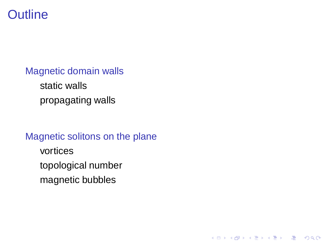#### **Outline**

[Magnetic domain walls](#page-1-0) [static walls](#page-1-0) [propagating walls](#page-3-0)

<span id="page-0-0"></span>[Magnetic solitons on the plane](#page-5-0) [vortices](#page-5-0) [topological number](#page-10-0) [magnetic bubbles](#page-11-0)

K ロ ▶ K @ ▶ K 할 > K 할 > 1 할 > 1 이익어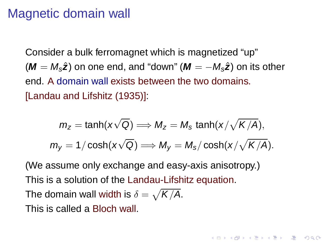#### Magnetic domain wall

Consider a bulk ferromagnet which is magnetized "up"  $(M = M_s\hat{z})$  on one end, and "down"  $(M = -M_s\hat{z})$  on its other end. A domain wall exists between the two domains. [Landau and Lifshitz (1935)]:

$$
m_z = \tanh(x\sqrt{Q}) \Longrightarrow M_z = M_s \tanh(x/\sqrt{K/A}),
$$
  

$$
m_y = 1/\cosh(x\sqrt{Q}) \Longrightarrow M_y = M_s/\cosh(x/\sqrt{K/A}).
$$

**ADD REPARTMENTS** 

<span id="page-1-0"></span>(We assume only exchange and easy-axis anisotropy.) This is a solution of the Landau-Lifshitz equation. The domain wall width is  $\delta = \sqrt{\mathsf{K}/\mathsf{A}}.$ This is called a Bloch wall.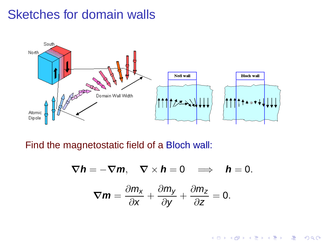### Sketches for domain walls



Find the magnetostatic field of a Bloch wall:

$$
\nabla h = -\nabla m, \quad \nabla \times h = 0 \quad \Longrightarrow \quad h = 0.
$$

$$
\nabla m = \frac{\partial m_x}{\partial x} + \frac{\partial m_y}{\partial y} + \frac{\partial m_z}{\partial z} = 0.
$$

K ロ > K @ ▶ K 할 > K 할 > 1 할 | X 9 Q @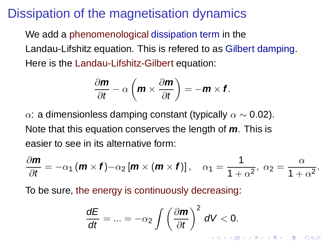### Dissipation of the magnetisation dynamics

We add a phenomenological dissipation term in the Landau-Lifshitz equation. This is refered to as Gilbert damping. Here is the Landau-Lifshitz-Gilbert equation:

$$
\frac{\partial \mathbf{m}}{\partial t} - \alpha \left( \mathbf{m} \times \frac{\partial \mathbf{m}}{\partial t} \right) = -\mathbf{m} \times \mathbf{f}.
$$

α: a dimensionless damping constant (typically  $\alpha \sim 0.02$ ). Note that this equation conserves the length of **m**. This is easier to see in its alternative form:

$$
\frac{\partial \mathbf{m}}{\partial t} = -\alpha_1 \left( \mathbf{m} \times \mathbf{f} \right) - \alpha_2 \left[ \mathbf{m} \times \left( \mathbf{m} \times \mathbf{f} \right) \right], \quad \alpha_1 = \frac{1}{1 + \alpha^2}, \; \alpha_2 = \frac{\alpha}{1 + \alpha^2}.
$$

<span id="page-3-0"></span>To be sure, the energy is continuously decreasing:

$$
\frac{dE}{dt} = ... = -\alpha_2 \int \left(\frac{\partial \mathbf{m}}{\partial t}\right)^2 dV < 0.
$$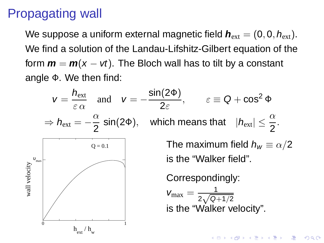# Propagating wall

We suppose a uniform external magnetic field  $h_{ext} = (0, 0, h_{ext})$ . We find a solution of the Landau-Lifshitz-Gilbert equation of the form  $m = m(x - vt)$ . The Bloch wall has to tilt by a constant angle Φ. We then find:

<span id="page-4-0"></span>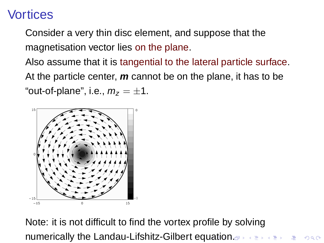# **Vortices**

Consider a very thin disc element, and suppose that the magnetisation vector lies on the plane.

Also assume that it is tangential to the lateral particle surface. At the particle center, **m** cannot be on the plane, it has to be "out-of-plane", i.e.,  $m_z = \pm 1$ .



<span id="page-5-0"></span>Note: it is not difficult to find the vortex profile by solving numerically the Landau-Lifshitz-Gilbert eq[ua](#page-4-0)ti[o](#page-6-0)[n](#page-4-0)[.](#page-5-0)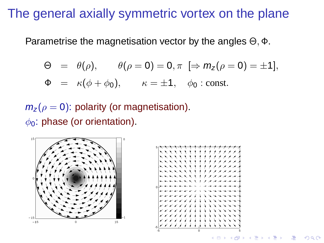### The general axially symmetric vortex on the plane

Parametrise the magnetisation vector by the angles Θ, Φ.

$$
\Theta = \theta(\rho), \qquad \theta(\rho = 0) = 0, \pi \ \Rightarrow m_{\mathsf{Z}}(\rho = 0) = \pm 1],
$$

$$
\Phi = \kappa(\phi + \phi_0), \qquad \kappa = \pm 1, \quad \phi_0 : \text{const.}
$$

 $m_{z}(\rho=0)$ : polarity (or magnetisation).  $\phi_0$ : phase (or orientation).

<span id="page-6-0"></span>



*RACK RACK RACK RACK RACK*  $2Q$ (□ ) (母 )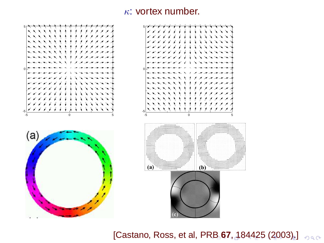#### $\kappa$ : vortex number.



<span id="page-7-0"></span>[Castano, Ross, et al, P[RB](#page-6-0) [6](#page-8-0)[7](#page-6-0)[, 1](#page-7-0)[8](#page-8-0)[4](#page-5-0)4[2](#page-5-0)[5](#page-10-0) [\(](#page-4-0)2[00](#page-12-0)[3\)](#page-0-0)[.\]](#page-12-0)  $\sqrt{2}$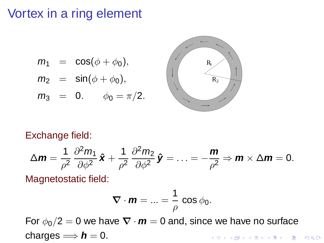### Vortex in a ring element

$$
m_1 = \cos(\phi + \phi_0),
$$

$$
m_2 = \sin(\phi + \phi_0),
$$

 $m_3 = 0.$   $\phi_0 = \pi/2.$ 



#### Exchange field:

$$
\Delta \boldsymbol{m} = \frac{1}{\rho^2} \frac{\partial^2 m_1}{\partial \phi^2} \hat{\boldsymbol{x}} + \frac{1}{\rho^2} \frac{\partial^2 m_2}{\partial \phi^2} \hat{\boldsymbol{y}} = \ldots = -\frac{\boldsymbol{m}}{\rho^2} \Rightarrow \boldsymbol{m} \times \Delta \boldsymbol{m} = 0.
$$

Magnetostatic field:

$$
\nabla \cdot \bm{m} = ... = \frac{1}{\rho} \cos \phi_0.
$$

<span id="page-8-0"></span>For  $\phi_0/2 = 0$  we have  $\nabla \cdot \mathbf{m} = 0$  and, since we have no surface charges  $\implies h = 0$ . K ロ ▶ K @ ▶ K 할 > K 할 > 1 할 | X 9 Q @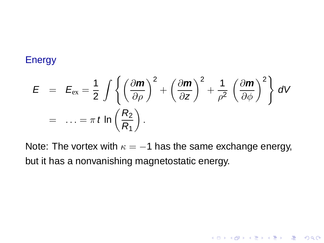#### Energy

$$
E = E_{ex} = \frac{1}{2} \int \left\{ \left( \frac{\partial m}{\partial \rho} \right)^2 + \left( \frac{\partial m}{\partial z} \right)^2 + \frac{1}{\rho^2} \left( \frac{\partial m}{\partial \phi} \right)^2 \right\} dV
$$
  
= ... =  $\pi t \ln \left( \frac{R_2}{R_1} \right)$ .

<span id="page-9-0"></span>Note: The vortex with  $\kappa = -1$  has the same exchange energy, but it has a nonvanishing magnetostatic energy.

K ロ ▶ K @ ▶ K 할 > K 할 > 1 할 | X 9 Q @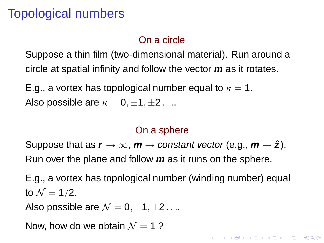# Topological numbers

#### On a circle

Suppose a thin film (two-dimensional material). Run around a circle at spatial infinity and follow the vector **m** as it rotates.

E.g., a vortex has topological number equal to  $\kappa = 1$ . Also possible are  $\kappa = 0, \pm 1, \pm 2, \ldots$ 

#### On a sphere

Suppose that as  $r \to \infty$ ,  $m \to constant$  vector (e.g.,  $m \to \hat{z}$ ). Run over the plane and follow **m** as it runs on the sphere.

E.g., a vortex has topological number (winding number) equal to  $\mathcal{N} = 1/2$ .

**ADD REPARTMENTS** 

Also possible are  $\mathcal{N} = 0, \pm 1, \pm 2 \ldots$ 

<span id="page-10-0"></span>Now, how do we obtain  $\mathcal{N} = 1$  ?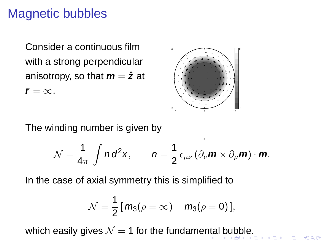# Magnetic bubbles

Consider a continuous film with a strong perpendicular anisotropy, so that  $m = \hat{z}$  at  $r = \infty$ .



 $\boldsymbol{\mathbf{x}}$ 

**Contract** 

 $2Q$ 

The winding number is given by

$$
\mathcal{N} = \frac{1}{4\pi} \int n d^2 \mathbf{x}, \qquad n = \frac{1}{2} \epsilon_{\mu\nu} \left( \partial_{\nu} \mathbf{m} \times \partial_{\mu} \mathbf{m} \right) \cdot \mathbf{m}.
$$

In the case of axial symmetry this is simplified to

$$
\mathcal{N}=\frac{1}{2}[m_3(\rho=\infty)-m_3(\rho=0)],
$$

<span id="page-11-0"></span>which easi[l](#page-12-0)y giv[e](#page-10-0)s  $\mathcal{N} = 1$  for the fundame[nta](#page-10-0)l [b](#page-12-0)[u](#page-10-0)[bb](#page-11-0)le[.](#page-11-0)